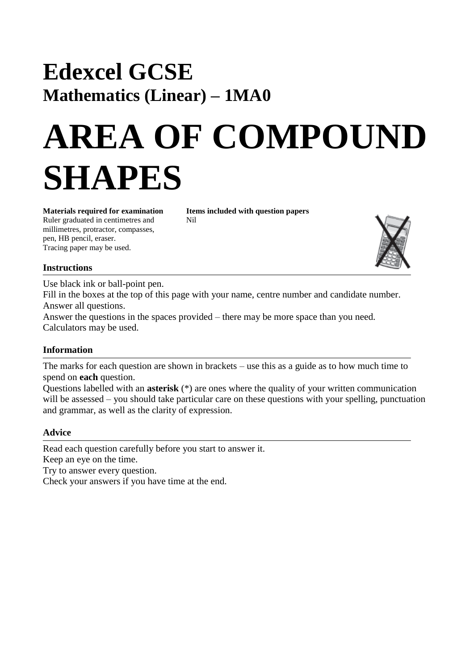# **Edexcel GCSE Mathematics (Linear) – 1MA0**

# **AREA OF COMPOUND SHAPES**

Ruler graduated in centimetres and Nil millimetres, protractor, compasses, pen, HB pencil, eraser. Tracing paper may be used.

**Materials required for examination Items included with question papers**



#### **Instructions**

Use black ink or ball-point pen.

Fill in the boxes at the top of this page with your name, centre number and candidate number. Answer all questions.

Answer the questions in the spaces provided – there may be more space than you need. Calculators may be used.

## **Information**

The marks for each question are shown in brackets – use this as a guide as to how much time to spend on **each** question.

Questions labelled with an **asterisk** (\*) are ones where the quality of your written communication will be assessed – you should take particular care on these questions with your spelling, punctuation and grammar, as well as the clarity of expression.

## **Advice**

Read each question carefully before you start to answer it. Keep an eye on the time. Try to answer every question. Check your answers if you have time at the end.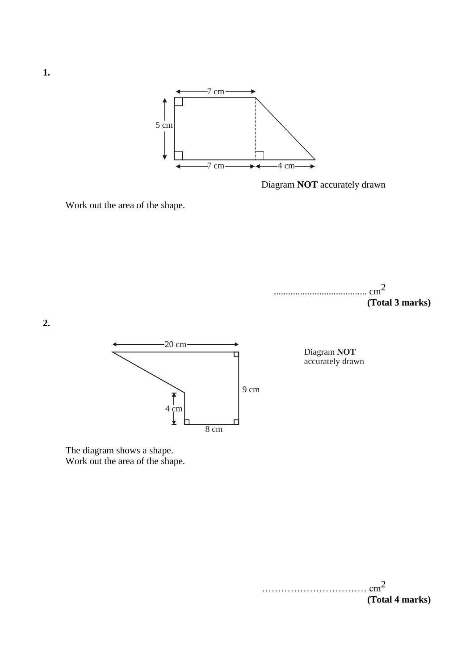

Diagram **NOT** accurately drawn

Work out the area of the shape.





Diagram accurately drawn **NOT**

The diagram shows a shape. Work out the area of the shape.

> $\text{cm}^2$ **(Total 4 marks)**

**2.**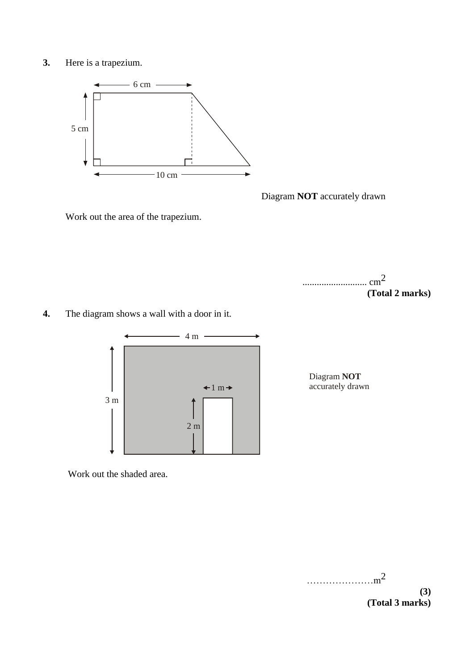**3.** Here is a trapezium.



Diagram **NOT** accurately drawn

Work out the area of the trapezium.



**4.** The diagram shows a wall with a door in it.



Diagram **NOT** accurately drawn

Work out the shaded area.

………………<sup>2</sup>

**(3) (Total 3 marks)**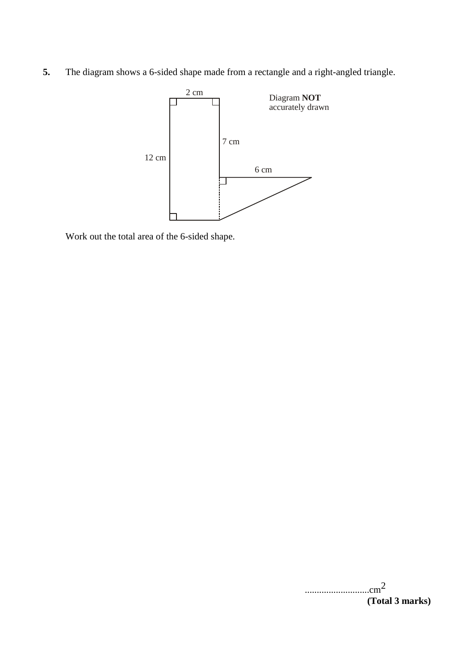**5.** The diagram shows a 6-sided shape made from a rectangle and a right-angled triangle.



Work out the total area of the 6-sided shape.

...........................cm2 **(Total 3 marks)**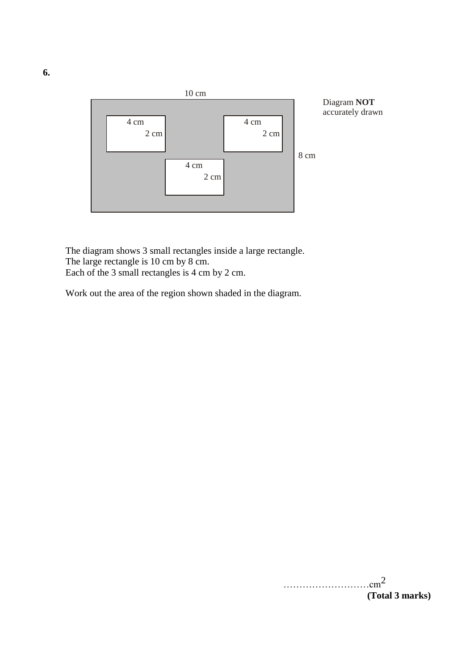

The diagram shows 3 small rectangles inside a large rectangle. The large rectangle is 10 cm by 8 cm. Each of the 3 small rectangles is 4 cm by 2 cm.

Work out the area of the region shown shaded in the diagram.

 $\ldots$  .  $\ldots$  .  $\ldots$  .  $\ldots$   $\ldots$   $\ldots$   $\ldots$   $\ldots$   $\ldots$   $\ldots$   $\ldots$   $\ldots$   $\ldots$ **(Total 3 marks)**

**6.**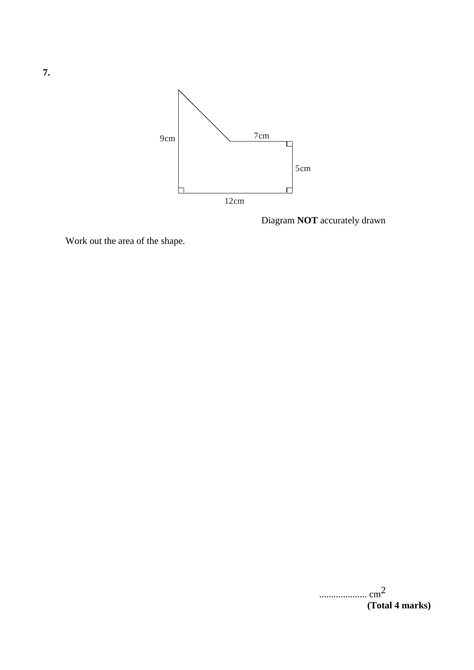

Diagram **NOT** accurately drawn

Work out the area of the shape.

| $\cdots$ cm <sup>2</sup> |  |
|--------------------------|--|
| (Total 4 marks)          |  |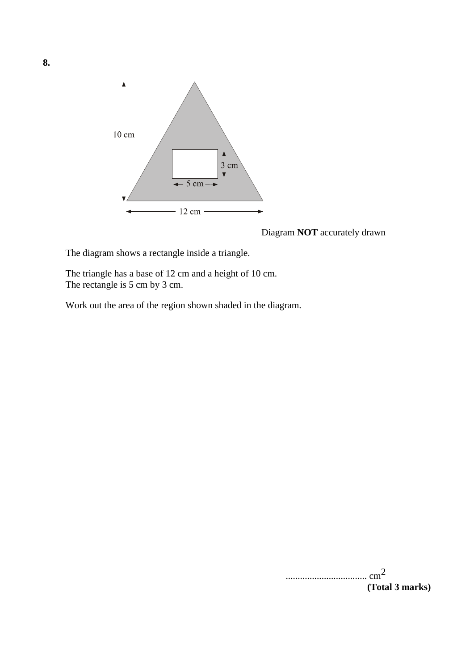

Diagram **NOT** accurately drawn

The diagram shows a rectangle inside a triangle.

The triangle has a base of 12 cm and a height of 10 cm. The rectangle is 5 cm by 3 cm.

Work out the area of the region shown shaded in the diagram.

.................................. cm2 **(Total 3 marks)**